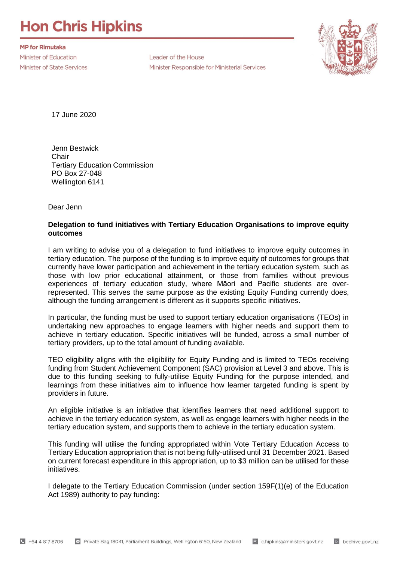## **Hon Chris Hipkins**

**MP for Rimutaka** Minister of Education **Minister of State Services** 

Leader of the House Minister Responsible for Ministerial Services



17 June 2020

Jenn Bestwick **Chair** Tertiary Education Commission PO Box 27-048 Wellington 6141

Dear Jenn

## **Delegation to fund initiatives with Tertiary Education Organisations to improve equity outcomes**

I am writing to advise you of a delegation to fund initiatives to improve equity outcomes in tertiary education. The purpose of the funding is to improve equity of outcomes for groups that currently have lower participation and achievement in the tertiary education system, such as those with low prior educational attainment, or those from families without previous experiences of tertiary education study, where Māori and Pacific students are overrepresented. This serves the same purpose as the existing Equity Funding currently does, although the funding arrangement is different as it supports specific initiatives.

In particular, the funding must be used to support tertiary education organisations (TEOs) in undertaking new approaches to engage learners with higher needs and support them to achieve in tertiary education. Specific initiatives will be funded, across a small number of tertiary providers, up to the total amount of funding available.

TEO eligibility aligns with the eligibility for Equity Funding and is limited to TEOs receiving funding from Student Achievement Component (SAC) provision at Level 3 and above. This is due to this funding seeking to fully-utilise Equity Funding for the purpose intended, and learnings from these initiatives aim to influence how learner targeted funding is spent by providers in future.

An eligible initiative is an initiative that identifies learners that need additional support to achieve in the tertiary education system, as well as engage learners with higher needs in the tertiary education system, and supports them to achieve in the tertiary education system.

This funding will utilise the funding appropriated within Vote Tertiary Education Access to Tertiary Education appropriation that is not being fully-utilised until 31 December 2021. Based on current forecast expenditure in this appropriation, up to \$3 million can be utilised for these initiatives.

I delegate to the Tertiary Education Commission (under section 159F(1)(e) of the Education Act 1989) authority to pay funding: